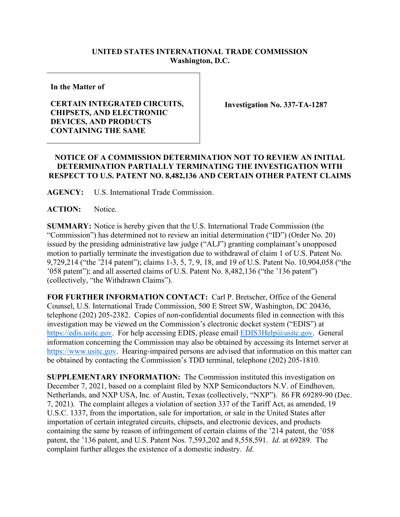## **UNITED STATES INTERNATIONAL TRADE COMMISSION Washington, D.C.**

**In the Matter of**

## **CERTAIN INTEGRATED CIRCUITS, CHIPSETS, AND ELECTRONIIC DEVICES, AND PRODUCTS CONTAINING THE SAME**

**Investigation No. 337-TA-1287**

## **NOTICE OF A COMMISSION DETERMINATION NOT TO REVIEW AN INITIAL DETERMINATION PARTIALLY TERMINATING THE INVESTIGATION WITH RESPECT TO U.S. PATENT NO. 8,482,136 AND CERTAIN OTHER PATENT CLAIMS**

**AGENCY:** U.S. International Trade Commission.

ACTION: Notice.

**SUMMARY:** Notice is hereby given that the U.S. International Trade Commission (the "Commission") has determined not to review an initial determination ("ID") (Order No. 20) issued by the presiding administrative law judge ("ALJ") granting complainant's unopposed motion to partially terminate the investigation due to withdrawal of claim 1 of U.S. Patent No. 9,729,214 ("the '214 patent"); claims 1-3, 5, 7, 9, 18, and 19 of U.S. Patent No. 10,904,058 ("the '058 patent"); and all asserted claims of U.S. Patent No. 8,482,136 ("the '136 patent") (collectively, "the Withdrawn Claims").

**FOR FURTHER INFORMATION CONTACT:** Carl P. Bretscher, Office of the General Counsel, U.S. International Trade Commission, 500 E Street SW, Washington, DC 20436, telephone (202) 205-2382. Copies of non-confidential documents filed in connection with this investigation may be viewed on the Commission's electronic docket system ("EDIS") at [https://edis.usitc.gov.](https://edis.usitc.gov/) For help accessing EDIS, please email [EDIS3Help@usitc.gov.](mailto:EDIS3Help@usitc.gov) General information concerning the Commission may also be obtained by accessing its Internet server at [https://www.usitc.gov.](https://www.usitc.gov/) Hearing-impaired persons are advised that information on this matter can be obtained by contacting the Commission's TDD terminal, telephone (202) 205-1810.

**SUPPLEMENTARY INFORMATION:** The Commission instituted this investigation on December 7, 2021, based on a complaint filed by NXP Semiconductors N.V. of Eindhoven, Netherlands, and NXP USA, Inc. of Austin, Texas (collectively, "NXP"). 86 FR 69289-90 (Dec. 7, 2021). The complaint alleges a violation of section 337 of the Tariff Act, as amended, 19 U.S.C. 1337, from the importation, sale for importation, or sale in the United States after importation of certain integrated circuits, chipsets, and electronic devices, and products containing the same by reason of infringement of certain claims of the '214 patent, the '058 patent, the '136 patent, and U.S. Patent Nos. 7,593,202 and 8,558,591. *Id.* at 69289. The complaint further alleges the existence of a domestic industry. *Id.*